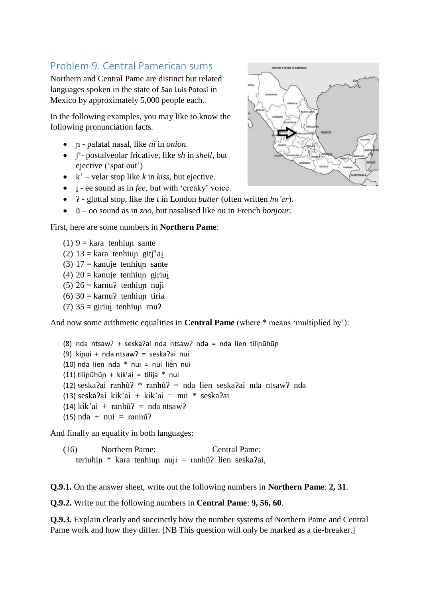### Problem 9. Central Pamerican sums

Northern and Central Pame are distinct but related languages spoken in the state of San Luis Potosí in Mexico by approximately 5,000 people each.

In the following examples, you may like to know the following pronunciation facts.

- ɲ palatal nasal, like *ni* in *onion*.
- ʃ'- postalveolar fricative, like *sh* in *shell*, but ejective ('spat out')
- $k'$  velar stop like *k* in *kiss*, but ejective.
- ḭ ee sound as in *fee*, but with 'creaky' voice.
- 2 glottal stop, like the *t* in London *butter* (often written *bu'er*).
- ũ oo sound as in *zoo*, but nasalised like *on* in French *bonjour*.

#### First, here are some numbers in **Northern Pame**:

- (1)  $9 = kara$  tenhiup sante
- (2)  $13 = \text{kara}$  tenhiup git $\int$ ai
- (3)  $17 = \text{kanuje}$  tenhiup sante
- (4)  $20 =$  kanuje tenhiup giriui
- (5)  $26 = \text{karnu}$ ? tenhiup nuji
- (6)  $30 = \text{karnu}$ ? tenhiup tiria
- (7)  $35 = \text{giriuj}$  tenhiup rnu?

And now some arithmetic equalities in **Central Pame** (where \* means 'multiplied by'):

(8) nda ntsawʔ + seskaʔai nda ntsawʔ nda = nda lien tiliɲũhũɲ (9) kiɲui + nda ntsawʔ = seskaʔai nui (10) nda lien nda \* nui = nui lien nui (11) tiliɲũhũɲ + kik'ai = tilija \* nui (12) seskaʔai ranhũʔ \* ranhũʔ = nda lien seskaʔai nda ntsawʔ nda (13) seskaʔai kik'ai + kik'ai = nui \* seskaʔai  $(14)$  kik'ai + ranhũ? = nda ntsaw?  $(15)$  nda + nui = ranhũ?

And finally an equality in both languages:

(16) Northern Pame: Central Pame: teriuhin \* kara tenhiun nuji = ranhũ? lien seska?ai,

**Q.9.1.** On the answer sheet, write out the following numbers in **Northern Pame**: **2, 31**.

**Q.9.2.** Write out the following numbers in **Central Pame**: **9, 56, 60**.

**Q.9.3.** Explain clearly and succinctly how the number systems of Northern Pame and Central Pame work and how they differ. [NB This question will only be marked as a tie-breaker.]

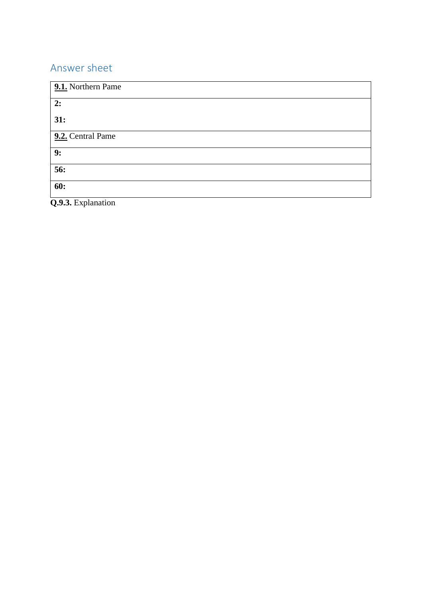### Answer sheet

| 9.1. Northern Pame |
|--------------------|
| 2:                 |
| 31:                |
| 9.2. Central Pame  |
| 9:                 |
| 56:                |
| 60:                |

**Q.9.3.** Explanation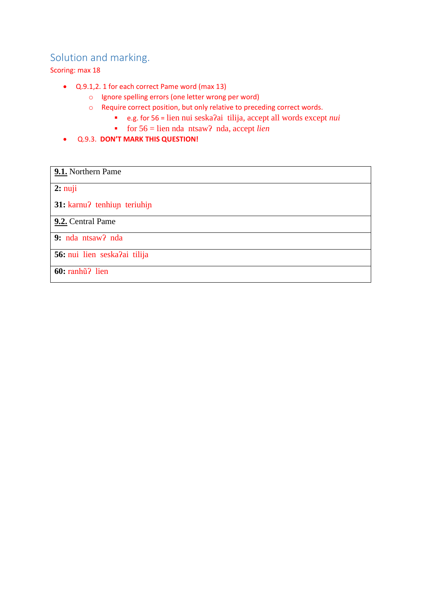### Solution and marking.

Scoring: max 18

- Q.9.1,2. 1 for each correct Pame word (max 13)
	- o Ignore spelling errors (one letter wrong per word)
	- o Require correct position, but only relative to preceding correct words.
		- e.g. for 56 = lien nui seskaʔai tilija, accept all words except *nui*
		- for 56 = lien nda ntsawʔ nda, accept *lien*
- Q.9.3. **DON'T MARK THIS QUESTION!**

# **9.1.** Northern Pame **2:** nuji **31:** karnuʔ tenhiuɲ teriuhiɲ **9.2.** Central Pame **9:** nda ntsawʔ nda **56:** nui lien seskaʔai tilija **60:** ranhũʔ lien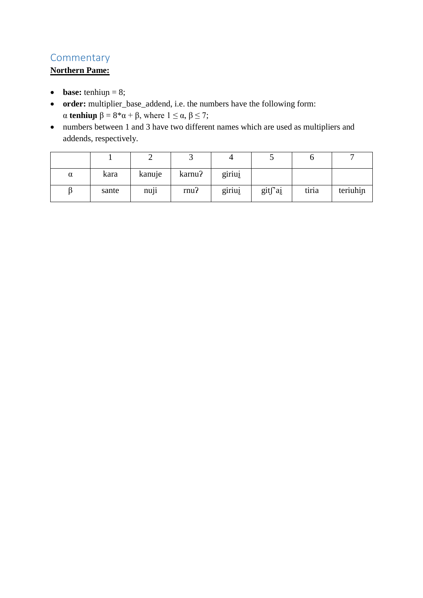### **Commentary**

### **Northern Pame:**

- **base:** tenhiup = 8;
- **order:** multiplier\_base\_addend, i.e. the numbers have the following form:  $\alpha$  **tenhiup**  $\beta = 8^* \alpha + \beta$ , where  $1 \leq \alpha, \beta \leq 7$ ;
- numbers between 1 and 3 have two different names which are used as multipliers and addends, respectively.

|   |       |        |         |        | ັ       |       |          |
|---|-------|--------|---------|--------|---------|-------|----------|
| α | kara  | kanuje | karnu?  | giriui |         |       |          |
|   | sante | nuji   | $rnu$ ? | giriui | gitf'ai | tiria | teriuhin |